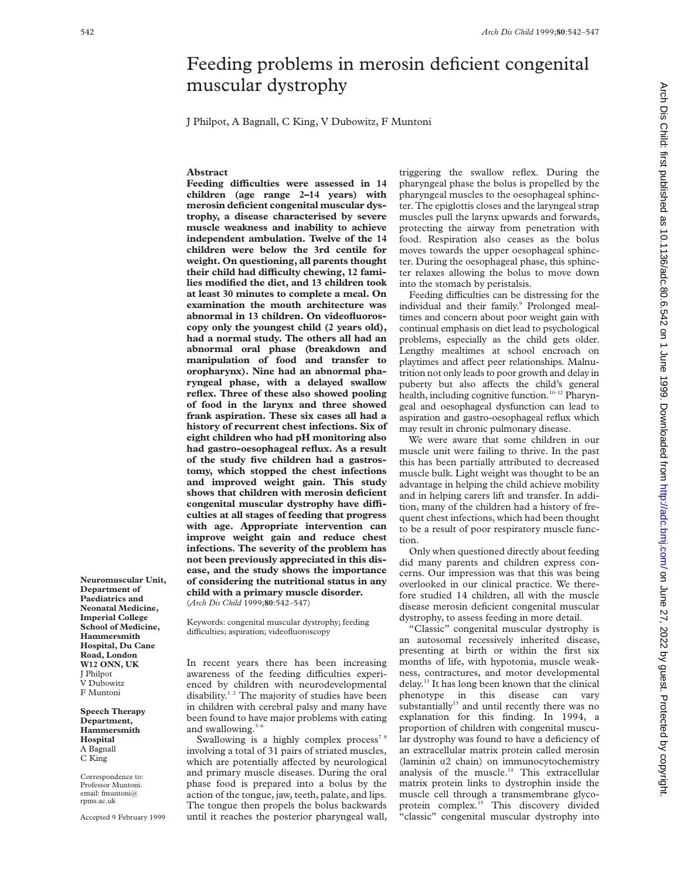# Feeding problems in merosin deficient congenital muscular dystrophy

J Philpot, A Bagnall, C King, V Dubowitz, F Muntoni

# **Abstract**

Feeding difficulties were assessed in 14 **children (age range 2–14 years) with merosin deficient congenital muscular dystrophy, a disease characterised by severe muscle weakness and inability to achieve independent ambulation. Twelve of the 14 children were below the 3rd centile for weight. On questioning, all parents thought** their child had difficulty chewing, 12 fami**lies modified the diet, and 13 children took at least 30 minutes to complete a meal. On examination the mouth architecture was abnormal in 13 children. On videofluoroscopy only the youngest child (2 years old), had a normal study. The others all had an abnormal oral phase (breakdown and manipulation of food and transfer to oropharynx). Nine had an abnormal pharyngeal phase, with a delayed swallow reflex. Three of these also showed pooling of food in the larynx and three showed frank aspiration. These six cases all had a history of recurrent chest infections. Six of eight children who had pH monitoring also had gastro-oesophageal reflux. As a result of the study five children had a gastrostomy, which stopped the chest infections and improved weight gain. This study shows that children with merosin deficient** congenital muscular dystrophy have diffi**culties at all stages of feeding that progress with age. Appropriate intervention can improve weight gain and reduce chest infections. The severity of the problem has not been previously appreciated in this disease, and the study shows the importance of considering the nutritional status in any child with a primary muscle disorder.** (*Arch Dis Child* 1999;**80**:542–547)

Keywords: congenital muscular dystrophy; feeding difficulties; aspiration; videofluoroscopy

In recent years there has been increasing awareness of the feeding difficulties experienced by children with neurodevelopmental disability.<sup>12</sup> The majority of studies have been in children with cerebral palsy and many have been found to have major problems with eating and swallowing. $3-6$ 

Swallowing is a highly complex process<sup>78</sup> involving a total of 31 pairs of striated muscles, which are potentially affected by neurological and primary muscle diseases. During the oral phase food is prepared into a bolus by the action of the tongue, jaw, teeth, palate, and lips. The tongue then propels the bolus backwards until it reaches the posterior pharyngeal wall, triggering the swallow reflex. During the pharyngeal phase the bolus is propelled by the pharyngeal muscles to the oesophageal sphincter. The epiglottis closes and the laryngeal strap muscles pull the larynx upwards and forwards, protecting the airway from penetration with food. Respiration also ceases as the bolus moves towards the upper oesophageal sphincter. During the oesophageal phase, this sphincter relaxes allowing the bolus to move down into the stomach by peristalsis.

Feeding difficulties can be distressing for the individual and their family.<sup>9</sup> Prolonged mealtimes and concern about poor weight gain with continual emphasis on diet lead to psychological problems, especially as the child gets older. Lengthy mealtimes at school encroach on playtimes and affect peer relationships. Malnutrition not only leads to poor growth and delay in puberty but also affects the child's general health, including cognitive function.<sup>10-12</sup> Pharyngeal and oesophageal dysfunction can lead to aspiration and gastro-oesophageal reflux which may result in chronic pulmonary disease.

We were aware that some children in our muscle unit were failing to thrive. In the past this has been partially attributed to decreased muscle bulk. Light weight was thought to be an advantage in helping the child achieve mobility and in helping carers lift and transfer. In addition, many of the children had a history of frequent chest infections, which had been thought to be a result of poor respiratory muscle function.

Only when questioned directly about feeding did many parents and children express concerns. Our impression was that this was being overlooked in our clinical practice. We therefore studied 14 children, all with the muscle disease merosin deficient congenital muscular dystrophy, to assess feeding in more detail.

"Classic" congenital muscular dystrophy is an autosomal recessively inherited disease, presenting at birth or within the first six months of life, with hypotonia, muscle weakness, contractures, and motor developmental delay.13 It has long been known that the clinical phenotype in this disease can vary substantially $13$  and until recently there was no explanation for this finding. In 1994, a proportion of children with congenital muscular dystrophy was found to have a deficiency of an extracellular matrix protein called merosin (laminin  $\alpha$ 2 chain) on immunocytochemistry analysis of the muscle.<sup>14</sup> This extracellular matrix protein links to dystrophin inside the muscle cell through a transmembrane glycoprotein complex.<sup>15</sup> This discovery divided "classic" congenital muscular dystrophy into

**Department of Paediatrics and Neonatal Medicine, Imperial College School of Medicine, Hammersmith Hospital, Du Cane Road, London W12 ONN, UK** J Philpot V Dubowitz F Muntoni

**Neuromuscular Unit,**

**Speech Therapy Department, Hammersmith Hospital** A Bagnall C King

Correspondence to: Professor Muntoni. email: fmuntoni@ rpms.ac.uk

Accepted 9 February 1999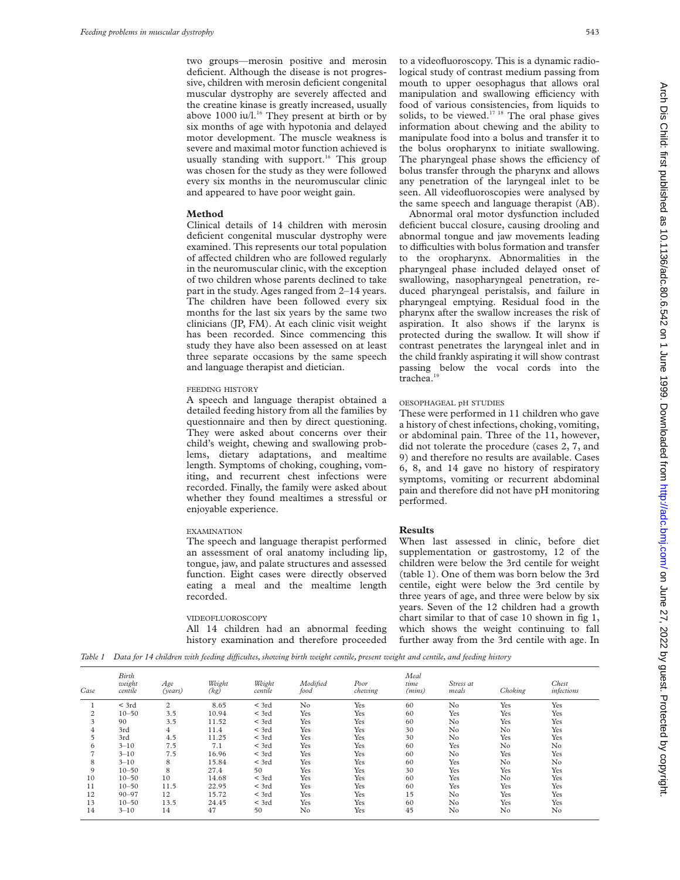two groups—merosin positive and merosin deficient. Although the disease is not progressive, children with merosin deficient congenital muscular dystrophy are severely affected and the creatine kinase is greatly increased, usually above 1000 iu/l.<sup>16</sup> They present at birth or by six months of age with hypotonia and delayed motor development. The muscle weakness is severe and maximal motor function achieved is usually standing with support.<sup>16</sup> This group was chosen for the study as they were followed every six months in the neuromuscular clinic and appeared to have poor weight gain.

# **Method**

Clinical details of 14 children with merosin deficient congenital muscular dystrophy were examined. This represents our total population of affected children who are followed regularly in the neuromuscular clinic, with the exception of two children whose parents declined to take part in the study. Ages ranged from 2–14 years. The children have been followed every six months for the last six years by the same two clinicians (JP, FM). At each clinic visit weight has been recorded. Since commencing this study they have also been assessed on at least three separate occasions by the same speech and language therapist and dietician.

## FEEDING HISTORY

A speech and language therapist obtained a detailed feeding history from all the families by questionnaire and then by direct questioning. They were asked about concerns over their child's weight, chewing and swallowing problems, dietary adaptations, and mealtime length. Symptoms of choking, coughing, vomiting, and recurrent chest infections were recorded. Finally, the family were asked about whether they found mealtimes a stressful or enjoyable experience.

## EXAMINATION

The speech and language therapist performed an assessment of oral anatomy including lip, tongue, jaw, and palate structures and assessed function. Eight cases were directly observed eating a meal and the mealtime length recorded.

#### VIDEOFLUOROSCOPY

All 14 children had an abnormal feeding history examination and therefore proceeded

to a videofluoroscopy. This is a dynamic radiological study of contrast medium passing from mouth to upper oesophagus that allows oral manipulation and swallowing efficiency with food of various consistencies, from liquids to solids, to be viewed.<sup>17 18</sup> The oral phase gives information about chewing and the ability to manipulate food into a bolus and transfer it to the bolus oropharynx to initiate swallowing. The pharyngeal phase shows the efficiency of bolus transfer through the pharynx and allows any penetration of the laryngeal inlet to be seen. All videofluoroscopies were analysed by the same speech and language therapist (AB).

Abnormal oral motor dysfunction included deficient buccal closure, causing drooling and abnormal tongue and jaw movements leading to difficulties with bolus formation and transfer to the oropharynx. Abnormalities in the pharyngeal phase included delayed onset of swallowing, nasopharyngeal penetration, reduced pharyngeal peristalsis, and failure in pharyngeal emptying. Residual food in the pharynx after the swallow increases the risk of aspiration. It also shows if the larynx is protected during the swallow. It will show if contrast penetrates the laryngeal inlet and in the child frankly aspirating it will show contrast passing below the vocal cords into the trachea.<sup>19</sup>

## OESOPHAGEAL pH STUDIES

These were performed in 11 children who gave a history of chest infections, choking, vomiting, or abdominal pain. Three of the 11, however, did not tolerate the procedure (cases 2, 7, and 9) and therefore no results are available. Cases 6, 8, and 14 gave no history of respiratory symptoms, vomiting or recurrent abdominal pain and therefore did not have pH monitoring performed.

#### **Results**

When last assessed in clinic, before diet supplementation or gastrostomy, 12 of the children were below the 3rd centile for weight (table 1). One of them was born below the 3rd centile, eight were below the 3rd centile by three years of age, and three were below by six years. Seven of the 12 children had a growth chart similar to that of case 10 shown in fig 1, which shows the weight continuing to fall further away from the 3rd centile with age. In

*Table 1 Data for 14 children with feeding diYcultes, showing birth weight centile, present weight and centile, and feeding history*

| Case           | Birth<br>weight<br>centile | Age<br>(years) | Weight<br>(kg) | Weight<br>centile | Modified<br>food | Poor<br>chewing | Meal<br>time<br>(mins) | Stress at<br>meals | Choking        | Chest<br>infections |
|----------------|----------------------------|----------------|----------------|-------------------|------------------|-----------------|------------------------|--------------------|----------------|---------------------|
|                | $<$ 3rd                    | 2              | 8.65           | $<$ 3rd           | No               | Yes             | 60                     | No                 | Yes            | Yes                 |
| 2              | $10 - 50$                  | 3.5            | 10.94          | $<$ 3rd           | Yes              | Yes             | 60                     | Yes                | Yes            | Yes                 |
| 3              | 90                         | 3.5            | 11.52          | $<$ 3rd           | Yes              | Yes             | 60                     | No                 | Yes            | Yes                 |
| 4              | 3rd                        | 4              | 11.4           | $<$ 3rd           | Yes              | Yes             | 30                     | No                 | No             | Yes                 |
| 5              | 3rd                        | 4.5            | 11.25          | $<$ 3rd           | Yes              | Yes             | 30                     | No                 | Yes            | Yes                 |
| 6              | $3 - 10$                   | 7.5            | 7.1            | $<$ 3rd           | Yes              | Yes             | 60                     | Yes                | No             | No                  |
| $\overline{ }$ | $3 - 10$                   | 7.5            | 16.96          | $<$ 3rd           | Yes              | Yes             | 60                     | No                 | Yes            | Yes                 |
| 8              | $3 - 10$                   | 8              | 15.84          | $<$ 3rd           | Yes              | Yes             | 60                     | Yes                | N <sub>0</sub> | No                  |
| 9              | $10 - 50$                  | 8              | 27.4           | 50                | Yes              | Yes             | 30                     | Yes                | Yes            | Yes                 |
| 10             | $10 - 50$                  | 10             | 14.68          | $<$ 3rd           | Yes              | Yes             | 60                     | Yes                | No             | Yes                 |
| 11             | $10 - 50$                  | 11.5           | 22.95          | $<$ 3rd           | Yes              | Yes             | 60                     | Yes                | Yes            | Yes                 |
| 12             | $90 - 97$                  | 12             | 15.72          | $<$ 3rd           | Yes              | Yes             | 15                     | No                 | Yes            | Yes                 |
| 13             | $10 - 50$                  | 13.5           | 24.45          | $<$ 3rd           | Yes              | Yes             | 60                     | No                 | Yes            | Yes                 |
| 14             | $3 - 10$                   | 14             | 47             | 50                | No               | Yes             | 45                     | No                 | No             | No                  |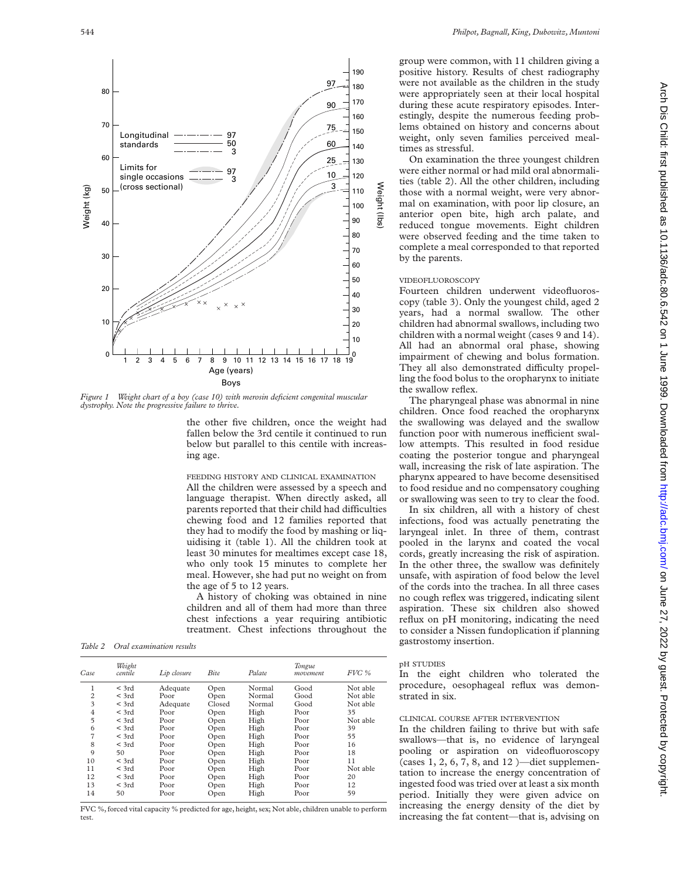

*Figure 1 Weight chart of a boy (case 10) with merosin deficient congenital muscular dystrophy. Note the progressive failure to thrive.*

the other five children, once the weight had fallen below the 3rd centile it continued to run below but parallel to this centile with increasing age.

FEEDING HISTORY AND CLINICAL EXAMINATION All the children were assessed by a speech and language therapist. When directly asked, all parents reported that their child had difficulties chewing food and 12 families reported that they had to modify the food by mashing or liquidising it (table 1). All the children took at least 30 minutes for mealtimes except case 18, who only took 15 minutes to complete her meal. However, she had put no weight on from the age of 5 to 12 years.

A history of choking was obtained in nine children and all of them had more than three chest infections a year requiring antibiotic treatment. Chest infections throughout the

*Table 2 Oral examination results*

| Case           | Weight<br>centile | Lip closure | Bite   | Palate | Tongue<br>movement. | FVC %    |
|----------------|-------------------|-------------|--------|--------|---------------------|----------|
|                | $<$ 3rd           | Adequate    | Open   | Normal | Good                | Not able |
| $\overline{2}$ | $<$ 3rd           | Poor        | Open   | Normal | Good                | Not able |
| 3              | $<$ 3rd           | Adequate    | Closed | Normal | Good                | Not able |
| $\overline{4}$ | $<$ 3rd           | Poor        | Open   | High   | Poor                | 35       |
| 5              | $<$ 3rd           | Poor        | Open   | High   | Poor                | Not able |
| 6              | $<$ 3rd           | Poor        | Open   | High   | Poor                | 39       |
| $\overline{7}$ | $<$ 3rd           | Poor        | Open   | High   | Poor                | 55       |
| 8              | $<$ 3rd           | Poor        | Open   | High   | Poor                | 16       |
| $\mathbf Q$    | 50                | Poor        | Open   | High   | Poor                | 18       |
| 10             | $<$ 3rd           | Poor        | Open   | High   | Poor                | 11       |
| 11             | $<$ 3rd           | Poor        | Open   | High   | Poor                | Not able |
| 12             | $<$ 3rd           | Poor        | Open   | High   | Poor                | 20       |
| 13             | $<$ 3rd           | Poor        | Open   | High   | Poor                | 12       |
| 14             | 50                | Poor        | Open   | High   | Poor                | 59       |

FVC %, forced vital capacity % predicted for age, height, sex; Not able, children unable to perform test.

group were common, with 11 children giving a positive history. Results of chest radiography were not available as the children in the study were appropriately seen at their local hospital during these acute respiratory episodes. Interestingly, despite the numerous feeding problems obtained on history and concerns about weight, only seven families perceived mealtimes as stressful.

On examination the three youngest children were either normal or had mild oral abnormalities (table 2). All the other children, including those with a normal weight, were very abnormal on examination, with poor lip closure, an anterior open bite, high arch palate, and reduced tongue movements. Eight children were observed feeding and the time taken to complete a meal corresponded to that reported by the parents.

## VIDEOFLUOROSCOPY

Weight (lbs)

 $\widehat{q}$ 

Μe

Fourteen children underwent videofluoroscopy (table 3). Only the youngest child, aged 2 years, had a normal swallow. The other children had abnormal swallows, including two children with a normal weight (cases 9 and 14). All had an abnormal oral phase, showing impairment of chewing and bolus formation. They all also demonstrated difficulty propelling the food bolus to the oropharynx to initiate the swallow reflex.

The pharyngeal phase was abnormal in nine children. Once food reached the oropharynx the swallowing was delayed and the swallow function poor with numerous inefficient swallow attempts. This resulted in food residue coating the posterior tongue and pharyngeal wall, increasing the risk of late aspiration. The pharynx appeared to have become desensitised to food residue and no compensatory coughing or swallowing was seen to try to clear the food.

In six children, all with a history of chest infections, food was actually penetrating the laryngeal inlet. In three of them, contrast pooled in the larynx and coated the vocal cords, greatly increasing the risk of aspiration. In the other three, the swallow was definitely unsafe, with aspiration of food below the level of the cords into the trachea. In all three cases no cough reflex was triggered, indicating silent aspiration. These six children also showed reflux on pH monitoring, indicating the need to consider a Nissen fundoplication if planning gastrostomy insertion.

# pH STUDIES

In the eight children who tolerated the procedure, oesophageal reflux was demonstrated in six.

# CLINICAL COURSE AFTER INTERVENTION

In the children failing to thrive but with safe swallows—that is, no evidence of laryngeal pooling or aspiration on videofluoroscopy (cases 1, 2, 6, 7, 8, and 12 )—diet supplementation to increase the energy concentration of ingested food was tried over at least a six month period. Initially they were given advice on increasing the energy density of the diet by increasing the fat content—that is, advising on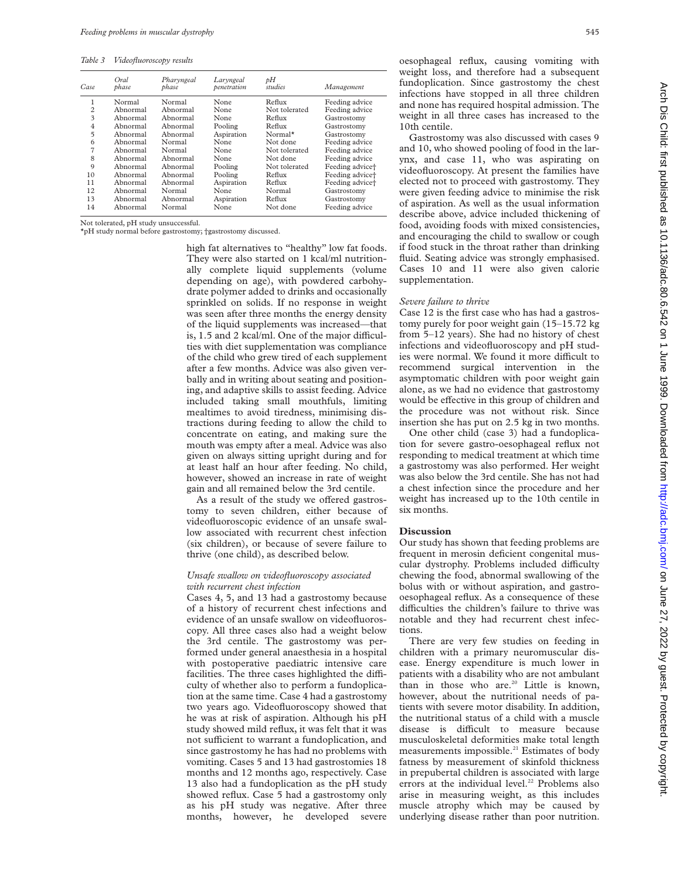*Table 3 Videofluoroscopy results*

| Case           | Oral<br>phase | Pharyngeal<br>phase | Laryngeal<br>penetration | рH<br>studies | Management                  |
|----------------|---------------|---------------------|--------------------------|---------------|-----------------------------|
|                | Normal        | Normal              | None                     | Reflux        | Feeding advice              |
| $\overline{c}$ | Abnormal      | Abnormal            | None                     | Not tolerated | Feeding advice              |
| 3              | Abnormal      | Ahnormal            | None                     | Reflux        | Gastrostomy                 |
| $\overline{4}$ | Abnormal      | Abnormal            | Pooling                  | Reflux        | Gastrostomy                 |
| $\overline{5}$ | Abnormal      | Abnormal            | Aspiration               | Normal*       | Gastrostomy                 |
| 6              | Abnormal      | Normal              | None                     | Not done      | Feeding advice              |
| 7              | Abnormal      | Normal              | None                     | Not tolerated | Feeding advice              |
| 8              | Abnormal      | Abnormal            | None                     | Not done      | Feeding advice              |
| $\mathbf Q$    | Abnormal      | Abnormal            | Pooling                  | Not tolerated | Feeding advice <sup>+</sup> |
| 10             | Abnormal      | Abnormal            | Pooling                  | Reflux        | Feeding advice <sup>+</sup> |
| 11             | Abnormal      | Abnormal            | Aspiration               | Reflux        | Feeding advice <sup>+</sup> |
| 12             | Abnormal      | Normal              | None                     | Normal        | Gastrostomy                 |
| 13             | Abnormal      | Abnormal            | Aspiration               | Reflux        | Gastrostomy                 |
| 14             | Abnormal      | Normal              | None                     | Not done      | Feeding advice              |

Not tolerated, pH study unsuccessful.

\*pH study normal before gastrostomy; †gastrostomy discussed.

high fat alternatives to "healthy" low fat foods. They were also started on 1 kcal/ml nutritionally complete liquid supplements (volume depending on age), with powdered carbohydrate polymer added to drinks and occasionally sprinkled on solids. If no response in weight was seen after three months the energy density of the liquid supplements was increased—that is, 1.5 and 2 kcal/ml. One of the major difficulties with diet supplementation was compliance of the child who grew tired of each supplement after a few months. Advice was also given verbally and in writing about seating and positioning, and adaptive skills to assist feeding. Advice included taking small mouthfuls, limiting mealtimes to avoid tiredness, minimising distractions during feeding to allow the child to concentrate on eating, and making sure the mouth was empty after a meal. Advice was also given on always sitting upright during and for at least half an hour after feeding. No child, however, showed an increase in rate of weight gain and all remained below the 3rd centile.

As a result of the study we offered gastrostomy to seven children, either because of videofluoroscopic evidence of an unsafe swallow associated with recurrent chest infection (six children), or because of severe failure to thrive (one child), as described below.

# *Unsafe swallow on videofluoroscopy associated with recurrent chest infection*

Cases 4, 5, and 13 had a gastrostomy because of a history of recurrent chest infections and evidence of an unsafe swallow on videofluoroscopy. All three cases also had a weight below the 3rd centile. The gastrostomy was performed under general anaesthesia in a hospital with postoperative paediatric intensive care facilities. The three cases highlighted the difficulty of whether also to perform a fundoplication at the same time. Case 4 had a gastrostomy two years ago. Videofluoroscopy showed that he was at risk of aspiration. Although his pH study showed mild reflux, it was felt that it was not sufficient to warrant a fundoplication, and since gastrostomy he has had no problems with vomiting. Cases 5 and 13 had gastrostomies 18 months and 12 months ago, respectively. Case 13 also had a fundoplication as the pH study showed reflux. Case 5 had a gastrostomy only as his pH study was negative. After three months, however, he developed severe

oesophageal reflux, causing vomiting with weight loss, and therefore had a subsequent fundoplication. Since gastrostomy the chest infections have stopped in all three children and none has required hospital admission. The weight in all three cases has increased to the 10th centile.

Gastrostomy was also discussed with cases 9 and 10, who showed pooling of food in the larynx, and case 11, who was aspirating on videofluoroscopy. At present the families have elected not to proceed with gastrostomy. They were given feeding advice to minimise the risk of aspiration. As well as the usual information describe above, advice included thickening of food, avoiding foods with mixed consistencies, and encouraging the child to swallow or cough if food stuck in the throat rather than drinking fluid. Seating advice was strongly emphasised. Cases 10 and 11 were also given calorie supplementation.

## *Severe failure to thrive*

Case 12 is the first case who has had a gastrostomy purely for poor weight gain (15–15.72 kg from 5–12 years). She had no history of chest infections and videofluoroscopy and pH studies were normal. We found it more difficult to recommend surgical intervention in the asymptomatic children with poor weight gain alone, as we had no evidence that gastrostomy would be effective in this group of children and the procedure was not without risk. Since insertion she has put on 2.5 kg in two months.

One other child (case 3) had a fundoplication for severe gastro-oesophageal reflux not responding to medical treatment at which time a gastrostomy was also performed. Her weight was also below the 3rd centile. She has not had a chest infection since the procedure and her weight has increased up to the 10th centile in six months.

# **Discussion**

Our study has shown that feeding problems are frequent in merosin deficient congenital muscular dystrophy. Problems included difficulty chewing the food, abnormal swallowing of the bolus with or without aspiration, and gastrooesophageal reflux. As a consequence of these difficulties the children's failure to thrive was notable and they had recurrent chest infections.

There are very few studies on feeding in children with a primary neuromuscular disease. Energy expenditure is much lower in patients with a disability who are not ambulant than in those who are.<sup>20</sup> Little is known, however, about the nutritional needs of patients with severe motor disability. In addition, the nutritional status of a child with a muscle disease is difficult to measure because musculoskeletal deformities make total length measurements impossible.<sup>21</sup> Estimates of body fatness by measurement of skinfold thickness in prepubertal children is associated with large errors at the individual level.<sup>22</sup> Problems also arise in measuring weight, as this includes muscle atrophy which may be caused by underlying disease rather than poor nutrition.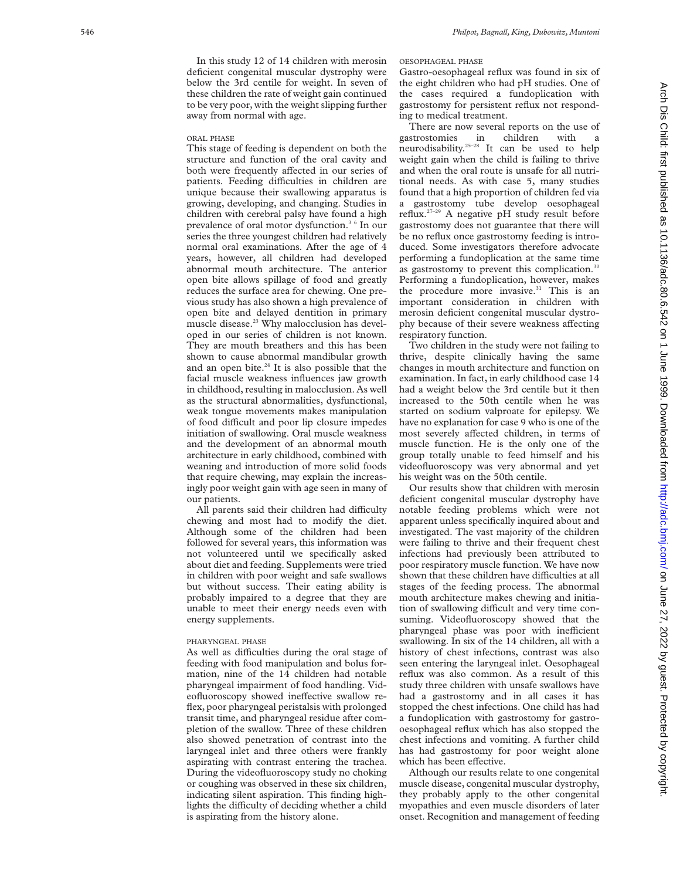#### ORAL PHASE

This stage of feeding is dependent on both the structure and function of the oral cavity and both were frequently affected in our series of patients. Feeding difficulties in children are unique because their swallowing apparatus is growing, developing, and changing. Studies in children with cerebral palsy have found a high prevalence of oral motor dysfunction.3 6 In our series the three youngest children had relatively normal oral examinations. After the age of 4 years, however, all children had developed abnormal mouth architecture. The anterior open bite allows spillage of food and greatly reduces the surface area for chewing. One previous study has also shown a high prevalence of open bite and delayed dentition in primary muscle disease.<sup>23</sup> Why malocclusion has developed in our series of children is not known. They are mouth breathers and this has been shown to cause abnormal mandibular growth and an open bite. $24$  It is also possible that the facial muscle weakness influences jaw growth in childhood, resulting in malocclusion. As well as the structural abnormalities, dysfunctional, weak tongue movements makes manipulation of food difficult and poor lip closure impedes initiation of swallowing. Oral muscle weakness and the development of an abnormal mouth architecture in early childhood, combined with weaning and introduction of more solid foods that require chewing, may explain the increasingly poor weight gain with age seen in many of our patients.

All parents said their children had difficulty chewing and most had to modify the diet. Although some of the children had been followed for several years, this information was not volunteered until we specifically asked about diet and feeding. Supplements were tried in children with poor weight and safe swallows but without success. Their eating ability is probably impaired to a degree that they are unable to meet their energy needs even with energy supplements.

# PHARYNGEAL PHASE

As well as difficulties during the oral stage of feeding with food manipulation and bolus formation, nine of the 14 children had notable pharyngeal impairment of food handling. Videofluoroscopy showed ineffective swallow reflex, poor pharyngeal peristalsis with prolonged transit time, and pharyngeal residue after completion of the swallow. Three of these children also showed penetration of contrast into the laryngeal inlet and three others were frankly aspirating with contrast entering the trachea. During the videofluoroscopy study no choking or coughing was observed in these six children, indicating silent aspiration. This finding highlights the difficulty of deciding whether a child is aspirating from the history alone.

# 546 *Philpot, Bagnall, King, Dubowitz, Muntoni*

# OESOPHAGEAL PHASE

Gastro-oesophageal reflux was found in six of the eight children who had pH studies. One of the cases required a fundoplication with gastrostomy for persistent reflux not responding to medical treatment.

There are now several reports on the use of gastrostomies in children with a neurodisability.25–28 It can be used to help weight gain when the child is failing to thrive and when the oral route is unsafe for all nutritional needs. As with case 5, many studies found that a high proportion of children fed via a gastrostomy tube develop oesophageal reflux.27–29 A negative pH study result before gastrostomy does not guarantee that there will be no reflux once gastrostomy feeding is introduced. Some investigators therefore advocate performing a fundoplication at the same time as gastrostomy to prevent this complication.<sup>3</sup> Performing a fundoplication, however, makes the procedure more invasive.<sup>31</sup> This is an important consideration in children with merosin deficient congenital muscular dystrophy because of their severe weakness affecting respiratory function.

Two children in the study were not failing to thrive, despite clinically having the same changes in mouth architecture and function on examination. In fact, in early childhood case 14 had a weight below the 3rd centile but it then increased to the 50th centile when he was started on sodium valproate for epilepsy. We have no explanation for case 9 who is one of the most severely affected children, in terms of muscle function. He is the only one of the group totally unable to feed himself and his videofluoroscopy was very abnormal and yet his weight was on the 50th centile.

Our results show that children with merosin deficient congenital muscular dystrophy have notable feeding problems which were not apparent unless specifically inquired about and investigated. The vast majority of the children were failing to thrive and their frequent chest infections had previously been attributed to poor respiratory muscle function. We have now shown that these children have difficulties at all stages of the feeding process. The abnormal mouth architecture makes chewing and initiation of swallowing difficult and very time consuming. Videofluoroscopy showed that the pharyngeal phase was poor with inefficient swallowing. In six of the 14 children, all with a history of chest infections, contrast was also seen entering the laryngeal inlet. Oesophageal reflux was also common. As a result of this study three children with unsafe swallows have had a gastrostomy and in all cases it has stopped the chest infections. One child has had a fundoplication with gastrostomy for gastrooesophageal reflux which has also stopped the chest infections and vomiting. A further child has had gastrostomy for poor weight alone which has been effective.

Although our results relate to one congenital muscle disease, congenital muscular dystrophy, they probably apply to the other congenital myopathies and even muscle disorders of later onset. Recognition and management of feeding